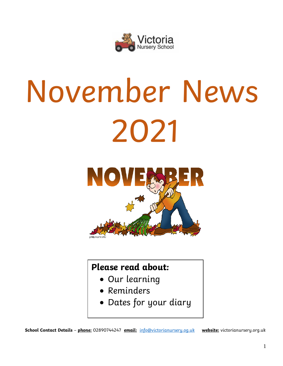

# November News 2021



# **Please read about:**

- Our learning
- Reminders
- Dates for your diary

**School Contact Details** – **phone:** 02890744247 **email:** [info@victorianursery.og.uk](mailto:info@victorianursery.og.uk) **website:** victorianursery.org.uk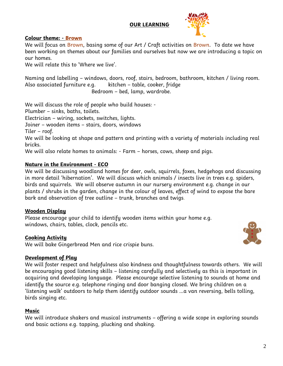# **OUR LEARNING**



#### **Colour theme: - Brown**

We will focus on Brown, basing some of our Art / Craft activities on Brown. To date we have been working on themes about our families and ourselves but now we are introducing a topic on our homes.

We will relate this to 'Where we live'.

Naming and labelling – windows, doors, roof, stairs, bedroom, bathroom, kitchen / living room. Also associated furniture e.g. kitchen – table, cooker, fridge Bedroom – bed, lamp, wardrobe.

We will discuss the role of people who build houses: -

Plumber – sinks, baths, toilets.

Electrician – wiring, sockets, switches, lights.

Joiner – wooden items – stairs, doors, windows

Tiler – roof.

We will be looking at shape and pattern and printing with a variety of materials including real bricks.

We will also relate homes to animals: - Farm – horses, cows, sheep and pigs.

# **Nature in the Environment - ECO**

We will be discussing woodland homes for deer, owls, squirrels, foxes, hedgehogs and discussing in more detail 'hibernation'. We will discuss which animals / insects live in trees e.g. spiders, birds and squirrels. We will observe autumn in our nursery environment e.g. change in our plants / shrubs in the garden, change in the colour of leaves, effect of wind to expose the bare bark and observation of tree outline – trunk, branches and twigs.

# **Wooden Display**

Please encourage your child to identify wooden items within your home e.g. windows, chairs, tables, clock, pencils etc.

# **Cooking Activity**

We will bake Gingerbread Men and rice crispie buns.

# **Development of Play**

We will foster respect and helpfulness also kindness and thoughtfulness towards others. We will be encouraging good listening skills – listening carefully and selectively as this is important in acquiring and developing language. Please encourage selective listening to sounds at home and identify the source e.g. telephone ringing and door banging closed. We bring children on a 'listening walk' outdoors to help them identify outdoor sounds …a van reversing, bells tolling, birds singing etc.

#### **Music**

We will introduce shakers and musical instruments – offering a wide scope in exploring sounds and basic actions e.g. tapping, plucking and shaking.

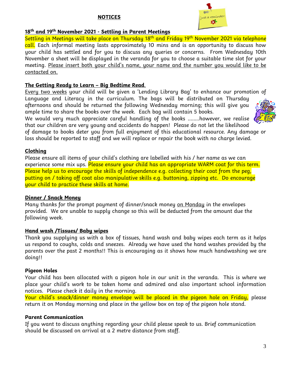# **NOTICES**



# **18th and 19th November 2021 - Settling in Parent Meetings**

Settling in Meetings will take place on Thursday 18<sup>th</sup> and Friday 19<sup>th</sup> November 2021 via telephone call. Each informal meeting lasts approximately 10 mins and is an opportunity to discuss how your child has settled and for you to discuss any queries or concerns. From Wednesday 10th November a sheet will be displayed in the veranda for you to choose a suitable time slot for your meeting. Please insert both your child's name, your name and the number you would like to be contacted on.

# **The Getting Ready to Learn – Big Bedtime Read**.

Every two weeks your child will be given a 'Lending Library Bag' to enhance our promotion of Language and Literacy in the curriculum. The bags will be distributed on Thursday afternoons and should be returned the following Wednesday morning; this will give you ample time to share the books over the week. Each bag will contain 5 books.

We would very much appreciate careful handling of the books ……..however, we realise that our children are very young and accidents do happen! Please do not let the likelihood

of damage to books deter you from full enjoyment of this educational resource. Any damage or loss should be reported to staff and we will replace or repair the book with no charge levied.

# **Clothing**

Please ensure all items of your child's clothing are labelled with his / her name as we can experience some mix ups. <mark>Please ensure your child has an appropriate WARM coat for this term.</mark> Please help us to encourage the skills of independence e.g. collecting their coat from the peg, putting on / taking off coat also manipulative skills e.g. buttoning, zipping etc. Do encourage your child to practice these skills at home.

#### **Dinner / Snack Money**

Many thanks for the prompt payment of dinner/snack money on Monday in the envelopes provided. We are unable to supply change so this will be deducted from the amount due the following week.

#### **Hand wash /Tissues/ Baby wipes**

Thank you supplying us with a box of tissues, hand wash and baby wipes each term as it helps us respond to coughs, colds and sneezes. Already we have used the hand washes provided by the parents over the past 2 months!! This is encouraging as it shows how much handwashing we are doing!!

# **Pigeon Holes**

Your child has been allocated with a pigeon hole in our unit in the veranda. This is where we place your child's work to be taken home and admired and also important school information notices. Please check it daily in the morning.

Your child's snack/dinner money envelope will be placed in the pigeon hole on Friday, please return it on Monday morning and place in the yellow box on top of the pigeon hole stand.

# **Parent Communication**

If you want to discuss anything regarding your child please speak to us. Brief communication should be discussed on arrival at a 2 metre distance from staff.

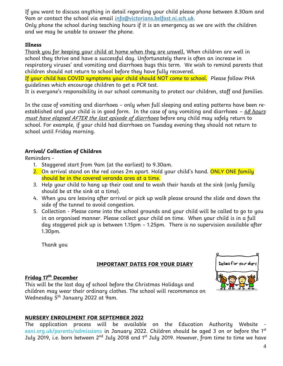If you want to discuss anything in detail regarding your child please phone between 8.30am and 9am or contact the school via email [info@victorians.belfast.ni.sch.uk.](mailto:info@victorians.belfast.ni.sch.uk)

Only phone the school during teaching hours if it is an emergency as we are with the children and we may be unable to answer the phone.

# **Illness**

Thank you for keeping your child at home when they are unwell. When children are well in school they thrive and have a successful day. Unfortunately there is often an increase in respiratory viruses' and vomiting and diarrhoea bugs this term. We wish to remind parents that children should not return to school before they have fully recovered.

If your child has COVID symptoms your child should NOT come to school. Please follow PHA guidelines which encourage children to get a PCR test.

It is everyone's responsibility in our school community to protect our children, staff and families.

In the case of vomiting and diarrhoea – only when full sleeping and eating patterns have been reestablished and your child is in good form. In the case of any vomiting and diarrhoea –  $48$  hours must have elapsed AFTER the last episode of diarrhoea before any child may safely return to school. For example, if your child had diarrhoea on Tuesday evening they should not return to school until Friday morning.

# **Arrival/ Collection of Children**

Reminders -

- 1. Staggered start from 9am (at the earliest) to 9.30am.
- 2. On arrival stand on the red cones 2m apart. Hold your child's hand. <mark>ONLY ONE family</mark> should be in the covered veranda area at a time.
- 3. Help your child to hang up their coat and to wash their hands at the sink (only family should be at the sink at a time).
- 4. When you are leaving after arrival or pick up walk please around the slide and down the side of the tunnel to avoid congestion.
- 5. Collection Please come into the school grounds and your child will be called to go to you in an organised manner. Please collect your child on time. When your child is in a full day staggered pick up is between 1.15pm – 1.25pm. There is no supervision available after 1.30pm.

Thank you

#### **IMPORTANT DATES FOR YOUR DIARY**

#### **Friday 17 th December**

This will be the last day of school before the Christmas Holidays and children may wear their ordinary clothes. The school will recommence on Wednesday 5 th January 2022 at 9am.

# **NURSERY ENROLEMENT FOR SEPTEMBER 2022**

The application process will be available on the Education Authority Website eani.org.uk/parents/admissions in January 2022. Children should be aged 3 on or before the 1<sup>st</sup> July 2019, i.e. born between 2<sup>nd</sup> July 2018 and 1<sup>st</sup> July 2019. However, from time to time we have